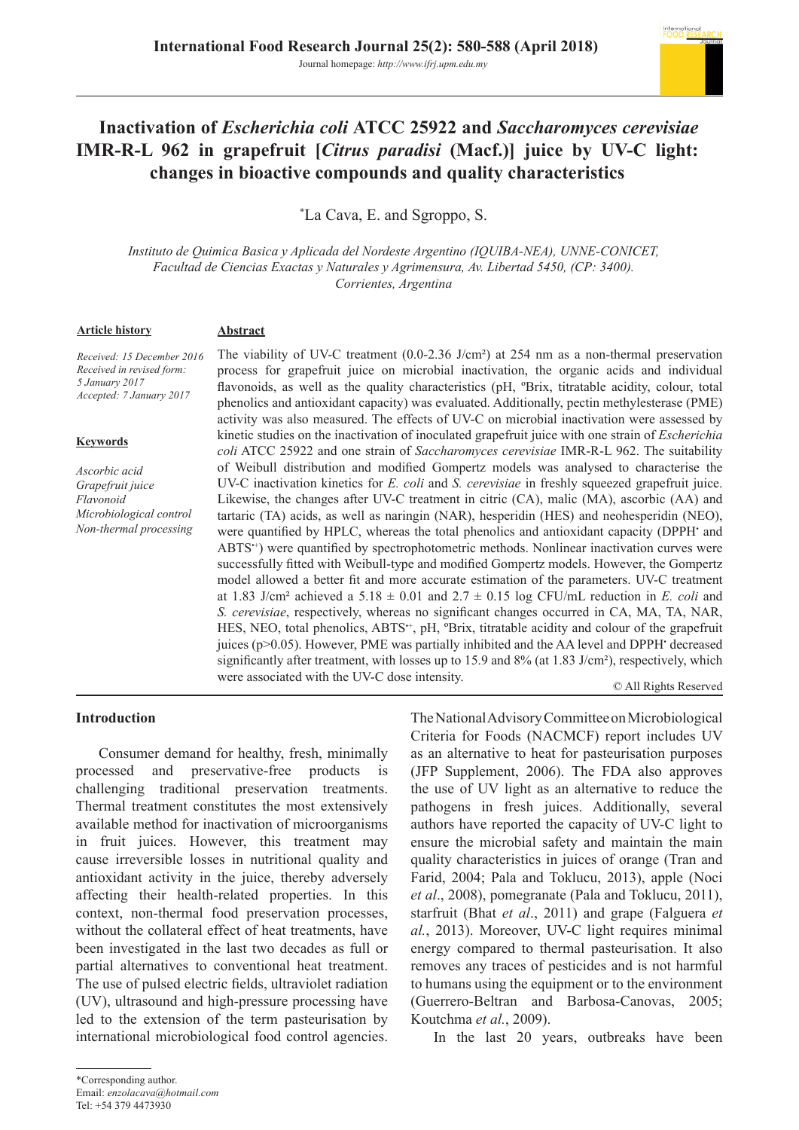

# **Inactivation of** *Escherichia coli* **ATCC 25922 and** *Saccharomyces cerevisiae*  **IMR-R-L 962 in grapefruit [***Citrus paradisi* **(Macf.)] juice by UV-C light: changes in bioactive compounds and quality characteristics**

\* La Cava, E. and Sgroppo, S.

*Instituto de Quimica Basica y Aplicada del Nordeste Argentino (IQUIBA-NEA), UNNE-CONICET, Facultad de Ciencias Exactas y Naturales y Agrimensura, Av. Libertad 5450, (CP: 3400). Corrientes, Argentina*

#### **Article history**

#### **Abstract**

*Received: 15 December 2016 Received in revised form: 5 January 2017 Accepted: 7 January 2017*

#### **Keywords**

*Ascorbic acid Grapefruit juice Flavonoid Microbiological control Non-thermal processing* The viability of UV-C treatment (0.0-2.36 J/cm²) at 254 nm as a non-thermal preservation process for grapefruit juice on microbial inactivation, the organic acids and individual flavonoids, as well as the quality characteristics (pH, ºBrix, titratable acidity, colour, total phenolics and antioxidant capacity) was evaluated. Additionally, pectin methylesterase (PME) activity was also measured. The effects of UV-C on microbial inactivation were assessed by kinetic studies on the inactivation of inoculated grapefruit juice with one strain of *Escherichia coli* ATCC 25922 and one strain of *Saccharomyces cerevisiae* IMR-R-L 962. The suitability of Weibull distribution and modified Gompertz models was analysed to characterise the UV-C inactivation kinetics for *E. coli* and *S. cerevisiae* in freshly squeezed grapefruit juice. Likewise, the changes after UV-C treatment in citric (CA), malic (MA), ascorbic (AA) and tartaric (TA) acids, as well as naringin (NAR), hesperidin (HES) and neohesperidin (NEO), were quantified by HPLC, whereas the total phenolics and antioxidant capacity (DPPH· and ABTS<sup>++</sup>) were quantified by spectrophotometric methods. Nonlinear inactivation curves were successfully fitted with Weibull-type and modified Gompertz models. However, the Gompertz model allowed a better fit and more accurate estimation of the parameters. UV-C treatment at 1.83 J/cm<sup>2</sup> achieved a  $5.18 \pm 0.01$  and  $2.7 \pm 0.15$  log CFU/mL reduction in *E. coli* and *S. cerevisiae*, respectively, whereas no significant changes occurred in CA, MA, TA, NAR, HES, NEO, total phenolics, ABTS<sup>++</sup>, pH, <sup>o</sup>Brix, titratable acidity and colour of the grapefruit juices (p>0.05). However, PME was partially inhibited and the AA level and DPPH decreased significantly after treatment, with losses up to 15.9 and 8% (at 1.83 J/cm<sup>2</sup>), respectively, which were associated with the UV-C dose intensity.

© All Rights Reserved

## **Introduction**

Consumer demand for healthy, fresh, minimally processed and preservative-free products is challenging traditional preservation treatments. Thermal treatment constitutes the most extensively available method for inactivation of microorganisms in fruit juices. However, this treatment may cause irreversible losses in nutritional quality and antioxidant activity in the juice, thereby adversely affecting their health-related properties. In this context, non-thermal food preservation processes, without the collateral effect of heat treatments, have been investigated in the last two decades as full or partial alternatives to conventional heat treatment. The use of pulsed electric fields, ultraviolet radiation (UV), ultrasound and high-pressure processing have led to the extension of the term pasteurisation by international microbiological food control agencies.

as an alternative to heat for pasteurisation purposes (JFP Supplement, 2006). The FDA also approves the use of UV light as an alternative to reduce the pathogens in fresh juices. Additionally, several authors have reported the capacity of UV-C light to ensure the microbial safety and maintain the main quality characteristics in juices of orange (Tran and Farid, 2004; Pala and Toklucu, 2013), apple (Noci *et al*., 2008), pomegranate (Pala and Toklucu, 2011), starfruit (Bhat *et al*., 2011) and grape (Falguera *et al.*, 2013). Moreover, UV-C light requires minimal energy compared to thermal pasteurisation. It also removes any traces of pesticides and is not harmful to humans using the equipment or to the environment (Guerrero-Beltran and Barbosa-Canovas, 2005; Koutchma *et al.*, 2009). In the last 20 years, outbreaks have been

The National Advisory Committee on Microbiological Criteria for Foods (NACMCF) report includes UV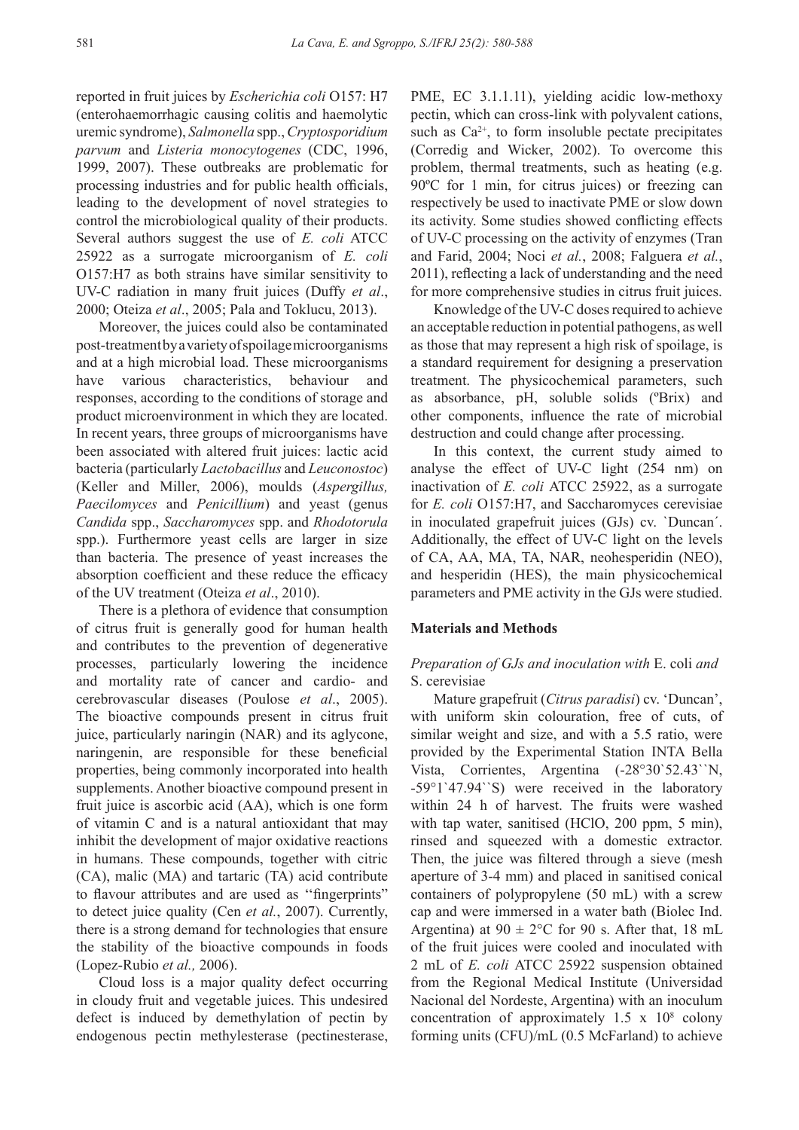reported in fruit juices by *Escherichia coli* O157: H7 (enterohaemorrhagic causing colitis and haemolytic uremic syndrome), *Salmonella* spp., *Cryptosporidium parvum* and *Listeria monocytogenes* (CDC, 1996, 1999, 2007). These outbreaks are problematic for processing industries and for public health officials, leading to the development of novel strategies to control the microbiological quality of their products. Several authors suggest the use of *E. coli* ATCC 25922 as a surrogate microorganism of *E. coli*  O157:H7 as both strains have similar sensitivity to UV-C radiation in many fruit juices (Duffy *et al*., 2000; Oteiza *et al*., 2005; Pala and Toklucu, 2013).

Moreover, the juices could also be contaminated post-treatment by a variety of spoilage microorganisms and at a high microbial load. These microorganisms have various characteristics, behaviour and responses, according to the conditions of storage and product microenvironment in which they are located. In recent years, three groups of microorganisms have been associated with altered fruit juices: lactic acid bacteria (particularly *Lactobacillus* and *Leuconostoc*) (Keller and Miller, 2006), moulds (*Aspergillus, Paecilomyces* and *Penicillium*) and yeast (genus *Candida* spp., *Saccharomyces* spp. and *Rhodotorula*  spp.). Furthermore yeast cells are larger in size than bacteria. The presence of yeast increases the absorption coefficient and these reduce the efficacy of the UV treatment (Oteiza *et al*., 2010).

There is a plethora of evidence that consumption of citrus fruit is generally good for human health and contributes to the prevention of degenerative processes, particularly lowering the incidence and mortality rate of cancer and cardio- and cerebrovascular diseases (Poulose *et al*., 2005). The bioactive compounds present in citrus fruit juice, particularly naringin (NAR) and its aglycone, naringenin, are responsible for these beneficial properties, being commonly incorporated into health supplements. Another bioactive compound present in fruit juice is ascorbic acid (AA), which is one form of vitamin C and is a natural antioxidant that may inhibit the development of major oxidative reactions in humans. These compounds, together with citric (CA), malic (MA) and tartaric (TA) acid contribute to flavour attributes and are used as ''fingerprints" to detect juice quality (Cen *et al.*, 2007). Currently, there is a strong demand for technologies that ensure the stability of the bioactive compounds in foods (Lopez-Rubio *et al.,* 2006).

Cloud loss is a major quality defect occurring in cloudy fruit and vegetable juices. This undesired defect is induced by demethylation of pectin by endogenous pectin methylesterase (pectinesterase, PME, EC 3.1.1.11), yielding acidic low-methoxy pectin, which can cross-link with polyvalent cations, such as  $Ca^{2+}$ , to form insoluble pectate precipitates (Corredig and Wicker, 2002). To overcome this problem, thermal treatments, such as heating (e.g. 90ºC for 1 min, for citrus juices) or freezing can respectively be used to inactivate PME or slow down its activity. Some studies showed conflicting effects of UV-C processing on the activity of enzymes (Tran and Farid, 2004; Noci *et al.*, 2008; Falguera *et al.*, 2011), reflecting a lack of understanding and the need for more comprehensive studies in citrus fruit juices.

Knowledge of the UV-C doses required to achieve an acceptable reduction in potential pathogens, as well as those that may represent a high risk of spoilage, is a standard requirement for designing a preservation treatment. The physicochemical parameters, such as absorbance, pH, soluble solids (ºBrix) and other components, influence the rate of microbial destruction and could change after processing.

In this context, the current study aimed to analyse the effect of UV-C light (254 nm) on inactivation of *E. coli* ATCC 25922, as a surrogate for *E. coli* O157:H7, and Saccharomyces cerevisiae in inoculated grapefruit juices (GJs) cv. `Duncan´. Additionally, the effect of UV-C light on the levels of CA, AA, MA, TA, NAR, neohesperidin (NEO), and hesperidin (HES), the main physicochemical parameters and PME activity in the GJs were studied.

#### **Materials and Methods**

## *Preparation of GJs and inoculation with* E. coli *and*  S. cerevisiae

Mature grapefruit (*Citrus paradisi*) cv. 'Duncan', with uniform skin colouration, free of cuts, of similar weight and size, and with a 5.5 ratio, were provided by the Experimental Station INTA Bella Vista, Corrientes, Argentina (-28°30`52.43``N, -59°1`47.94``S) were received in the laboratory within 24 h of harvest. The fruits were washed with tap water, sanitised (HClO, 200 ppm, 5 min), rinsed and squeezed with a domestic extractor. Then, the juice was filtered through a sieve (mesh aperture of 3-4 mm) and placed in sanitised conical containers of polypropylene (50 mL) with a screw cap and were immersed in a water bath (Biolec Ind. Argentina) at  $90 \pm 2$ °C for 90 s. After that, 18 mL of the fruit juices were cooled and inoculated with 2 mL of *E. coli* ATCC 25922 suspension obtained from the Regional Medical Institute (Universidad Nacional del Nordeste, Argentina) with an inoculum concentration of approximately  $1.5 \times 10^8$  colony forming units (CFU)/mL (0.5 McFarland) to achieve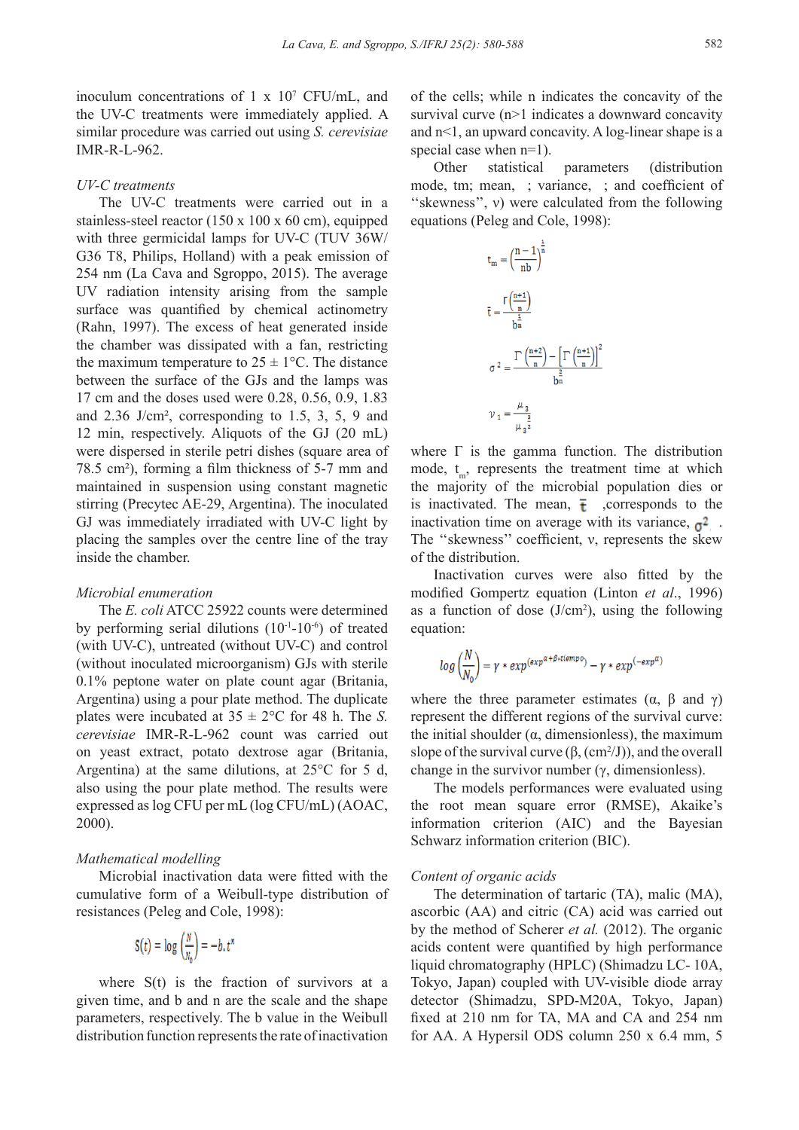inoculum concentrations of 1 x 10<sup>7</sup> CFU/mL, and the UV-C treatments were immediately applied. A similar procedure was carried out using *S. cerevisiae*  IMR-R-L-962.

## *UV-C treatments*

The UV-C treatments were carried out in a stainless-steel reactor (150 x 100 x 60 cm), equipped with three germicidal lamps for UV-C (TUV 36W/ G36 T8, Philips, Holland) with a peak emission of 254 nm (La Cava and Sgroppo, 2015). The average UV radiation intensity arising from the sample surface was quantified by chemical actinometry (Rahn, 1997). The excess of heat generated inside the chamber was dissipated with a fan, restricting the maximum temperature to  $25 \pm 1$ °C. The distance between the surface of the GJs and the lamps was 17 cm and the doses used were 0.28, 0.56, 0.9, 1.83 and 2.36 J/cm², corresponding to 1.5, 3, 5, 9 and 12 min, respectively. Aliquots of the GJ (20 mL) were dispersed in sterile petri dishes (square area of 78.5 cm²), forming a film thickness of 5-7 mm and maintained in suspension using constant magnetic stirring (Precytec AE-29, Argentina). The inoculated GJ was immediately irradiated with UV-C light by placing the samples over the centre line of the tray inside the chamber.

## *Microbial enumeration*

The *E. coli* ATCC 25922 counts were determined by performing serial dilutions  $(10^{-1}-10^{-6})$  of treated (with UV-C), untreated (without UV-C) and control (without inoculated microorganism) GJs with sterile 0.1% peptone water on plate count agar (Britania, Argentina) using a pour plate method. The duplicate plates were incubated at  $35 \pm 2$ °C for 48 h. The *S*. *cerevisiae* IMR-R-L-962 count was carried out on yeast extract, potato dextrose agar (Britania, Argentina) at the same dilutions, at 25°C for 5 d, also using the pour plate method. The results were expressed as log CFU per mL (log CFU/mL) (AOAC, 2000).

## *Mathematical modelling*

Microbial inactivation data were fitted with the cumulative form of a Weibull-type distribution of resistances (Peleg and Cole, 1998):

$$
S(t) = \log\left(\frac{N}{N_0}\right) = -b \cdot t^n
$$

where S(t) is the fraction of survivors at a given time, and b and n are the scale and the shape parameters, respectively. The b value in the Weibull distribution function represents the rate of inactivation of the cells; while n indicates the concavity of the survival curve (n>1 indicates a downward concavity and n<1, an upward concavity. A log-linear shape is a special case when n=1).

Other statistical parameters (distribution mode, tm; mean, ; variance, ; and coefficient of "skewness", *v*) were calculated from the following equations (Peleg and Cole, 1998):

$$
t_m = \left(\frac{n-1}{nb}\right)^{\frac{n}{n}}
$$
  
\n
$$
\overline{t} = \frac{\Gamma\left(\frac{n+1}{n}\right)}{b^{\frac{1}{n}}}
$$
  
\n
$$
\sigma^2 = \frac{\Gamma\left(\frac{n+2}{n}\right) - \left[\Gamma\left(\frac{n+1}{n}\right)\right]^2}{b^{\frac{2}{n}}}
$$
  
\n
$$
\nu_1 = \frac{\mu_3}{\mu_2^{\frac{2}{n}}}
$$

where  $\Gamma$  is the gamma function. The distribution mode,  $t_m$ , represents the treatment time at which the majority of the microbial population dies or is inactivated. The mean,  $\overline{t}$  , corresponds to the inactivation time on average with its variance,  $\sigma^2$ . The ''skewness'' coefficient, ν, represents the skew of the distribution.

Inactivation curves were also fitted by the modified Gompertz equation (Linton *et al*., 1996) as a function of dose  $(J/cm<sup>2</sup>)$ , using the following equation:

$$
log\left(\frac{N}{N_0}\right) = \gamma * exp^{(exp^{a+\beta *ttempo})} - \gamma * exp^{(-exp^{\alpha})}
$$

where the three parameter estimates  $(\alpha, \beta \text{ and } \gamma)$ represent the different regions of the survival curve: the initial shoulder (α, dimensionless), the maximum slope of the survival curve  $(\beta, (cm^2/J))$ , and the overall change in the survivor number (γ, dimensionless).

The models performances were evaluated using the root mean square error (RMSE), Akaike's information criterion (AIC) and the Bayesian Schwarz information criterion (BIC).

#### *Content of organic acids*

The determination of tartaric (TA), malic (MA), ascorbic (AA) and citric (CA) acid was carried out by the method of Scherer *et al.* (2012). The organic acids content were quantified by high performance liquid chromatography (HPLC) (Shimadzu LC- 10A, Tokyo, Japan) coupled with UV-visible diode array detector (Shimadzu, SPD-M20A, Tokyo, Japan) fixed at 210 nm for TA, MA and CA and 254 nm for AA. A Hypersil ODS column 250 x 6.4 mm, 5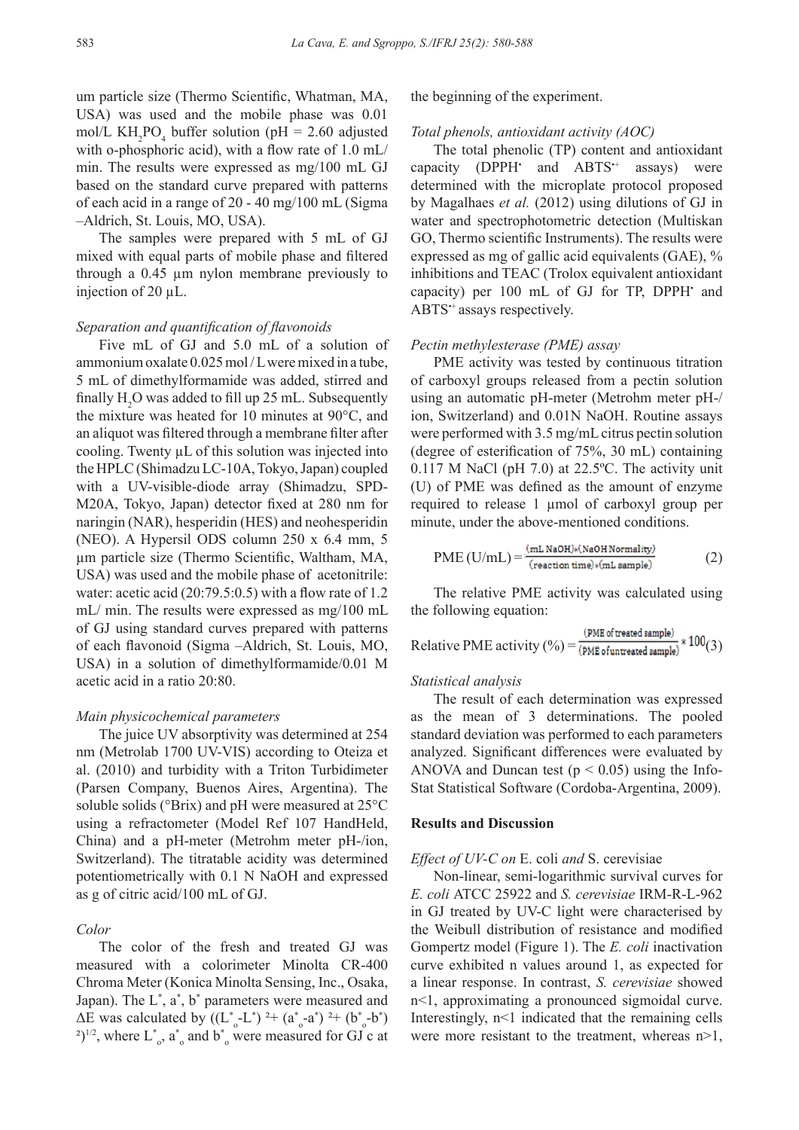um particle size (Thermo Scientific, Whatman, MA, USA) was used and the mobile phase was 0.01 mol/L  $KH_2PO_4$  buffer solution (pH = 2.60 adjusted with o-phosphoric acid), with a flow rate of 1.0 mL/ min. The results were expressed as mg/100 mL GJ based on the standard curve prepared with patterns of each acid in a range of 20 - 40 mg/100 mL (Sigma –Aldrich, St. Louis, MO, USA).

The samples were prepared with 5 mL of GJ mixed with equal parts of mobile phase and filtered through a 0.45 µm nylon membrane previously to injection of 20 µL.

#### *Separation and quantification of flavonoids*

Five mL of GJ and 5.0 mL of a solution of ammonium oxalate 0.025 mol / L were mixed in a tube, 5 mL of dimethylformamide was added, stirred and finally  $H_2O$  was added to fill up 25 mL. Subsequently the mixture was heated for 10 minutes at 90°C, and an aliquot was filtered through a membrane filter after cooling. Twenty  $\mu$ L of this solution was injected into the HPLC (Shimadzu LC-10A, Tokyo, Japan) coupled with a UV-visible-diode array (Shimadzu, SPD-M20A, Tokyo, Japan) detector fixed at 280 nm for naringin (NAR), hesperidin (HES) and neohesperidin (NEO). A Hypersil ODS column 250 x 6.4 mm, 5 µm particle size (Thermo Scientific, Waltham, MA, USA) was used and the mobile phase of acetonitrile: water: acetic acid (20:79.5:0.5) with a flow rate of 1.2 mL/ min. The results were expressed as mg/100 mL of GJ using standard curves prepared with patterns of each flavonoid (Sigma –Aldrich, St. Louis, MO, USA) in a solution of dimethylformamide/0.01 M acetic acid in a ratio 20:80.

#### *Main physicochemical parameters*

The juice UV absorptivity was determined at 254 nm (Metrolab 1700 UV-VIS) according to Oteiza et al. (2010) and turbidity with a Triton Turbidimeter (Parsen Company, Buenos Aires, Argentina). The soluble solids (°Brix) and pH were measured at 25°C using a refractometer (Model Ref 107 HandHeld, China) and a pH-meter (Metrohm meter pH-/ion, Switzerland). The titratable acidity was determined potentiometrically with 0.1 N NaOH and expressed as g of citric acid/100 mL of GJ.

#### *Color*

The color of the fresh and treated GJ was measured with a colorimeter Minolta CR-400 Chroma Meter (Konica Minolta Sensing, Inc., Osaka, Japan). The L<sup>\*</sup>, a<sup>\*</sup>, b<sup>\*</sup> parameters were measured and ΔE was calculated by  $((L^*_{o} - L^*)^2 + (a^*_{o} - a^*)^2 + (b^*_{o} - b^*)$ <sup>2</sup>)<sup> $1/2$ </sup>, where L<sup>\*</sup><sub>o</sub>, a<sup>\*</sup><sub>o</sub> and b<sup>\*</sup><sub>o</sub> were measured for GJ c at the beginning of the experiment.

#### *Total phenols, antioxidant activity (AOC)*

The total phenolic (TP) content and antioxidant capacity (DPPH<sup>·</sup> and ABTS<sup>+</sup> assays) were determined with the microplate protocol proposed by Magalhaes *et al.* (2012) using dilutions of GJ in water and spectrophotometric detection (Multiskan GO, Thermo scientific Instruments). The results were expressed as mg of gallic acid equivalents (GAE), % inhibitions and TEAC (Trolox equivalent antioxidant capacity) per 100 mL of GJ for TP, DPPH' and ABTS•+ assays respectively.

#### *Pectin methylesterase (PME) assay*

PME activity was tested by continuous titration of carboxyl groups released from a pectin solution using an automatic pH-meter (Metrohm meter pH-/ ion, Switzerland) and 0.01N NaOH. Routine assays were performed with 3.5 mg/mL citrus pectin solution (degree of esterification of 75%, 30 mL) containing 0.117 M NaCl (pH 7.0) at 22.5ºC. The activity unit (U) of PME was defined as the amount of enzyme required to release 1 µmol of carboxyl group per minute, under the above-mentioned conditions.

$$
PME (U/mL) = \frac{(mL NaOH)*(NaOH Normality)}{(reaction time)*(mL sample)} \tag{2}
$$

The relative PME activity was calculated using the following equation:

Relative PME activity 
$$
(\%) = \frac{(PME of treated sample)}{(PME of untracted sample)} * 100(3)
$$

## *Statistical analysis*

The result of each determination was expressed as the mean of 3 determinations. The pooled standard deviation was performed to each parameters analyzed. Significant differences were evaluated by ANOVA and Duncan test ( $p < 0.05$ ) using the Info-Stat Statistical Software (Cordoba-Argentina, 2009).

#### **Results and Discussion**

## *Effect of UV-C on* E. coli *and* S. cerevisiae

Non-linear, semi-logarithmic survival curves for *E. coli* ATCC 25922 and *S. cerevisiae* IRM-R-L-962 in GJ treated by UV-C light were characterised by the Weibull distribution of resistance and modified Gompertz model (Figure 1). The *E. coli* inactivation curve exhibited n values around 1, as expected for a linear response. In contrast, *S. cerevisiae* showed n<1, approximating a pronounced sigmoidal curve. Interestingly, n<1 indicated that the remaining cells were more resistant to the treatment, whereas  $n>1$ ,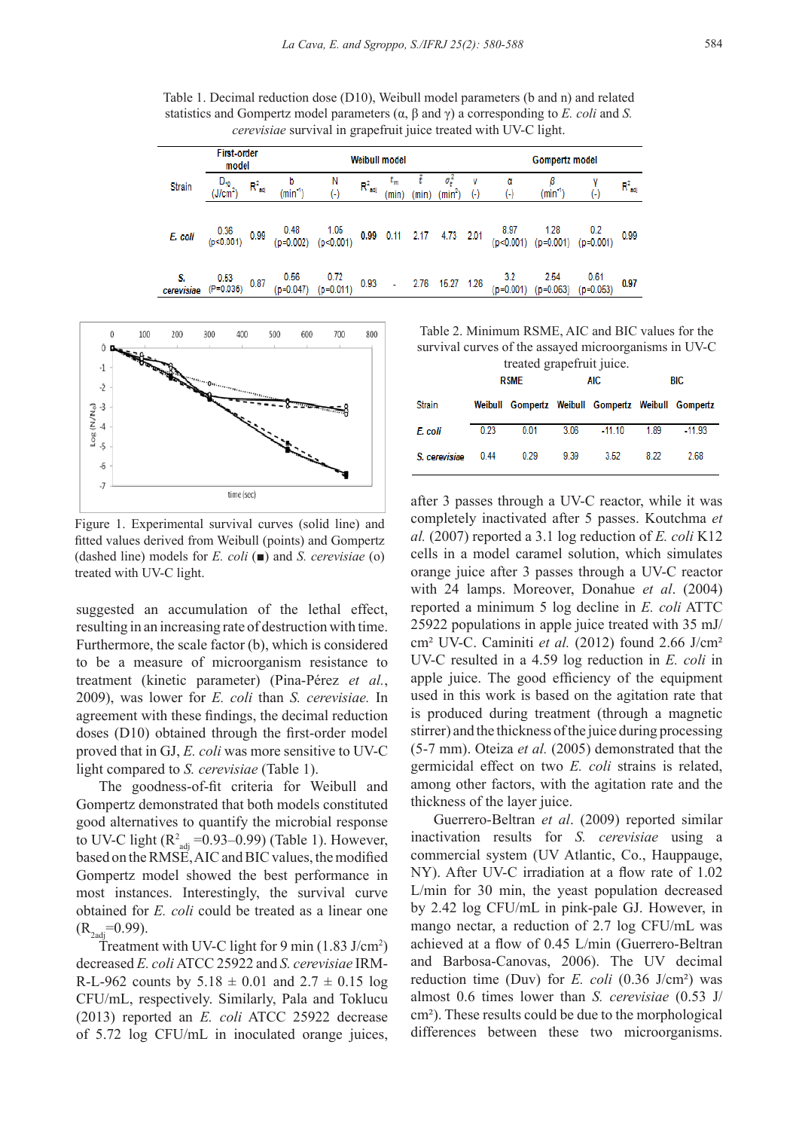Table 1. Decimal reduction dose (D10), Weibull model parameters (b and n) and related statistics and Gompertz model parameters (α, β and γ) a corresponding to *E. coli* and *S. cerevisiae* survival in grapefruit juice treated with UV-C light.

|                  | <b>First-order</b><br>model |            |                         |                     |                    | <b>Weibull model</b> |     | Gompertz model               |            |                    |                     |                     |             |  |
|------------------|-----------------------------|------------|-------------------------|---------------------|--------------------|----------------------|-----|------------------------------|------------|--------------------|---------------------|---------------------|-------------|--|
| Strain           | $D_{10}$<br>$(J/cm^2)$      | $R^2_{ad}$ | b<br>$(\mathsf{min}^4)$ | N<br>$(-)$          | $R^2_{\text{adj}}$ | <b>Lyn</b><br>(min)  | min | σ,<br>$(\text{min}^2)$       | v<br>$(-)$ | α<br>$(\cdot)$     | β<br>$(min^4)$      | 0                   | $R^2_{all}$ |  |
| E. coli          | 0.36<br>(p<0.001)           | 0.99       | 0.48<br>$(p=0.002)$     | 1.05<br>(p<0.001)   |                    |                      |     | 0.99  0.11  2.17  4.73  2.01 |            | 8.97<br>(p<0.001)  | $1.28$<br>(p=0.001) | 0.2<br>$(p=0.001)$  | 0.99        |  |
| S.<br>cerevisiae | 0.53<br>$(P=0.036)$         | 0.87       | 0.56<br>$(p=0.047)$     | 0.72<br>$(p=0.011)$ | 0.93               | ÷.                   |     | 2.76 15.27 1.26              |            | 3.2<br>$(p=0.001)$ | 2.54<br>$(p=0.063)$ | 0.61<br>$(p=0.053)$ | 0.97        |  |



Figure 1. Experimental survival curves (solid line) and fitted values derived from Weibull (points) and Gompertz (dashed line) models for *E. coli* (■) and *S. cerevisiae* (o) treated with UV-C light.

suggested an accumulation of the lethal effect, resulting in an increasing rate of destruction with time. Furthermore, the scale factor (b), which is considered to be a measure of microorganism resistance to treatment (kinetic parameter) (Pina-Pérez *et al.*, 2009), was lower for *E. coli* than *S. cerevisiae.* In agreement with these findings, the decimal reduction doses (D10) obtained through the first-order model proved that in GJ, *E. coli* was more sensitive to UV-C light compared to *S. cerevisiae* (Table 1).

The goodness-of-fit criteria for Weibull and Gompertz demonstrated that both models constituted good alternatives to quantify the microbial response to UV-C light  $(R^2_{\text{adj}} = 0.93 - 0.99)$  (Table 1). However, based on the RMSE, AIC and BIC values, the modified Gompertz model showed the best performance in most instances. Interestingly, the survival curve obtained for *E. coli* could be treated as a linear one  $(R_{2\text{adi}}=0.99)$ .

Treatment with UV-C light for 9 min  $(1.83 \text{ J/cm}^2)$ decreased *E. coli* ATCC 25922 and *S. cerevisiae* IRM-R-L-962 counts by  $5.18 \pm 0.01$  and  $2.7 \pm 0.15$  log CFU/mL, respectively. Similarly, Pala and Toklucu (2013) reported an *E. coli* ATCC 25922 decrease of 5.72 log CFU/mL in inoculated orange juices,

Table 2. Minimum RSME, AIC and BIC values for the survival curves of the assayed microorganisms in UV-C treated grapefruit juice.

| $\mu$ cated $\mu$ appendix parcel. |      |             |      |                                                    |      |          |  |  |  |  |  |  |  |  |
|------------------------------------|------|-------------|------|----------------------------------------------------|------|----------|--|--|--|--|--|--|--|--|
|                                    |      | <b>RSME</b> |      | AIC                                                | BIC  |          |  |  |  |  |  |  |  |  |
| Strain                             |      |             |      | Weibull Gompertz Weibull Gompertz Weibull Gompertz |      |          |  |  |  |  |  |  |  |  |
| E. coli                            | 0.23 | 0.01        | 3.06 | $-11.10$                                           | 1.89 | $-11.93$ |  |  |  |  |  |  |  |  |
| S. cerevisiae                      | 0.44 | 0.29        | 9.39 | 3.52                                               | 8.22 | 2.68     |  |  |  |  |  |  |  |  |

after 3 passes through a UV-C reactor, while it was completely inactivated after 5 passes. Koutchma *et al.* (2007) reported a 3.1 log reduction of *E. coli* K12 cells in a model caramel solution, which simulates orange juice after 3 passes through a UV-C reactor with 24 lamps. Moreover, Donahue *et al*. (2004) reported a minimum 5 log decline in *E. coli* ATTC 25922 populations in apple juice treated with 35 mJ/ cm² UV-C. Caminiti *et al.* (2012) found 2.66 J/cm² UV-C resulted in a 4.59 log reduction in *E. coli* in apple juice. The good efficiency of the equipment used in this work is based on the agitation rate that is produced during treatment (through a magnetic stirrer) and the thickness of the juice during processing (5-7 mm). Oteiza *et al.* (2005) demonstrated that the germicidal effect on two *E. coli* strains is related, among other factors, with the agitation rate and the thickness of the layer juice.

Guerrero-Beltran *et al*. (2009) reported similar inactivation results for *S. cerevisiae* using a commercial system (UV Atlantic, Co., Hauppauge, NY). After UV-C irradiation at a flow rate of 1.02 L/min for 30 min, the yeast population decreased by 2.42 log CFU/mL in pink-pale GJ. However, in mango nectar, a reduction of 2.7 log CFU/mL was achieved at a flow of 0.45 L/min (Guerrero-Beltran and Barbosa-Canovas, 2006). The UV decimal reduction time (Duv) for *E. coli* (0.36 J/cm²) was almost 0.6 times lower than *S. cerevisiae* (0.53 J/ cm²). These results could be due to the morphological differences between these two microorganisms.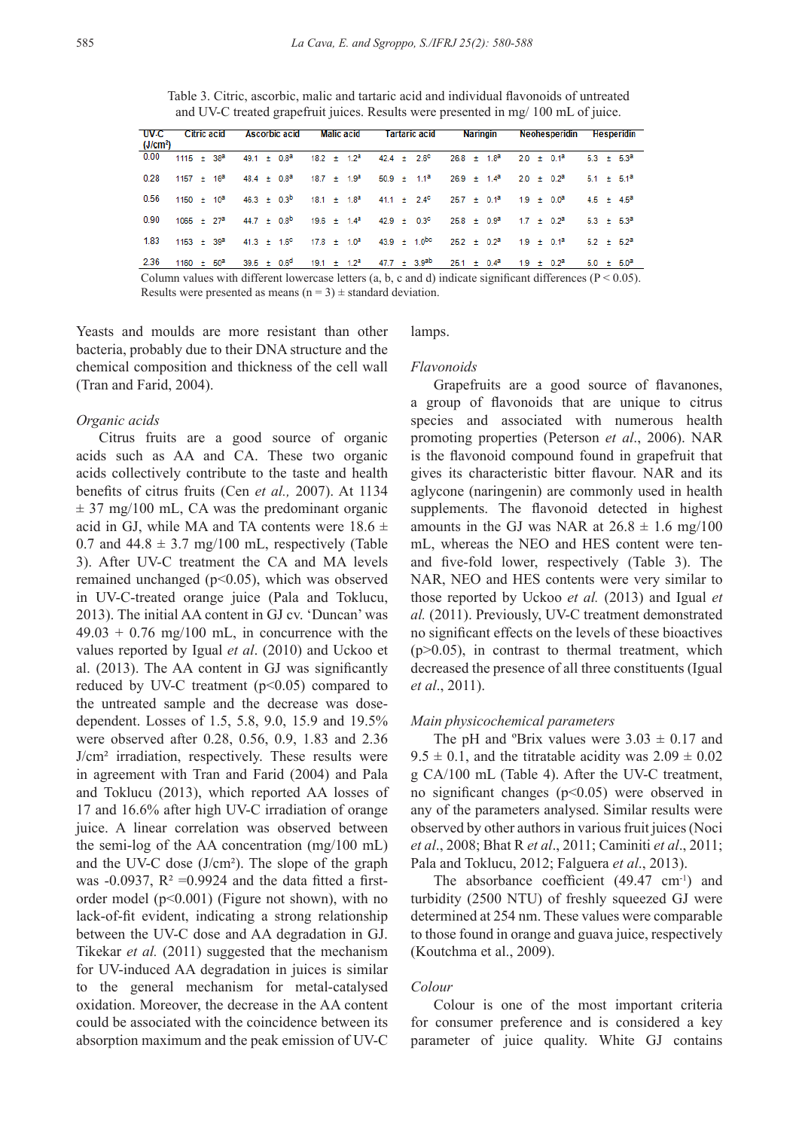Table 3. Citric, ascorbic, malic and tartaric acid and individual flavonoids of untreated and UV-C treated grapefruit juices. Results were presented in mg/ 100 mL of juice.

| <b>UV-C</b><br>(J/cm <sup>2</sup> ) | Citric acid     |  |  | <b>Ascorbic acid</b> |  |                  | Malic acid |  |  |  | Tartaric acid |  | <b>Naringin</b>                                    |  |  |  | Neohesperidin | Hesperidin                                                                                                                                                                             |                   |  |                 |
|-------------------------------------|-----------------|--|--|----------------------|--|------------------|------------|--|--|--|---------------|--|----------------------------------------------------|--|--|--|---------------|----------------------------------------------------------------------------------------------------------------------------------------------------------------------------------------|-------------------|--|-----------------|
| 0.00                                | $1115 \pm 38^2$ |  |  |                      |  | $49.1 \pm 0.8^2$ |            |  |  |  |               |  | $18.2 \pm 1.2^a$ $42.4 \pm 2.6^c$ $26.8 \pm 1.8^a$ |  |  |  |               | $2.0 \pm 0.1^a$                                                                                                                                                                        |                   |  | $5.3 \pm 5.3^a$ |
| 0.28                                |                 |  |  |                      |  |                  |            |  |  |  |               |  |                                                    |  |  |  |               | $1157 \pm 16^a$ 48.4 $\pm$ 0.8 <sup>3</sup> 18.7 $\pm$ 1.9 <sup>3</sup> 50.9 $\pm$ 1.1 <sup>3</sup> 26.9 $\pm$ 1.4 <sup>3</sup> 2.0 $\pm$ 0.2 <sup>3</sup> 5.1 $\pm$ 5.1 <sup>3</sup>  |                   |  |                 |
| 0.56                                |                 |  |  |                      |  |                  |            |  |  |  |               |  |                                                    |  |  |  |               | $1150 \pm 10^3$ 46.3 $\pm$ 0.3 <sup>b</sup> 18.1 $\pm$ 1.8 <sup>a</sup> 41.1 $\pm$ 2.4 <sup>c</sup> 25.7 $\pm$ 0.1 <sup>a</sup> 1.9 $\pm$ 0.0 <sup>a</sup>                             | $45 + 45^{\circ}$ |  |                 |
| 0.90                                |                 |  |  |                      |  |                  |            |  |  |  |               |  |                                                    |  |  |  |               | $1065 \pm 27^a$ 44.7 $\pm$ 0.8 <sup>b</sup> 19.6 $\pm$ 1.4 <sup>a</sup> 42.9 $\pm$ 0.3 <sup>c</sup> 25.8 $\pm$ 0.9 <sup>a</sup> 1.7 $\pm$ 0.2 <sup>a</sup> 5.3 $\pm$ 5.3 <sup>a</sup>  |                   |  |                 |
| 1.83                                |                 |  |  |                      |  |                  |            |  |  |  |               |  |                                                    |  |  |  |               | $1153 \pm 39^2$ 41.3 $\pm$ 1.6° 17.8 $\pm$ 1.0 <sup>a</sup> 43.9 $\pm$ 1.0 <sup>bc</sup> 25.2 $\pm$ 0.2 <sup>a</sup> 1.9 $\pm$ 0.1 <sup>a</sup> 5.2 $\pm$ 5.2 <sup>a</sup>             |                   |  |                 |
| 2.36                                |                 |  |  |                      |  |                  |            |  |  |  |               |  |                                                    |  |  |  |               | $1160 \pm 50^a$ 39.5 $\pm$ 0.6 <sup>d</sup> 19.1 $\pm$ 1.2 <sup>a</sup> 47.7 $\pm$ 3.9 <sup>ab</sup> 25.1 $\pm$ 0.4 <sup>a</sup> 1.9 $\pm$ 0.2 <sup>a</sup> 5.0 $\pm$ 5.0 <sup>a</sup> |                   |  |                 |
|                                     |                 |  |  |                      |  |                  |            |  |  |  |               |  |                                                    |  |  |  |               | Column values with different lowercase letters (a, b, c and d) indicate significant differences ( $P < 0.05$ ).                                                                        |                   |  |                 |

Results were presented as means  $(n = 3) \pm$  standard deviation.

Yeasts and moulds are more resistant than other bacteria, probably due to their DNA structure and the chemical composition and thickness of the cell wall (Tran and Farid, 2004).

## lamps.

## *Organic acids*

Citrus fruits are a good source of organic acids such as AA and CA. These two organic acids collectively contribute to the taste and health benefits of citrus fruits (Cen *et al.,* 2007). At 1134  $\pm$  37 mg/100 mL, CA was the predominant organic acid in GJ, while MA and TA contents were  $18.6 \pm$ 0.7 and  $44.8 \pm 3.7$  mg/100 mL, respectively (Table 3). After UV-C treatment the CA and MA levels remained unchanged (p˂0.05), which was observed in UV-C-treated orange juice (Pala and Toklucu, 2013). The initial AA content in GJ cv. 'Duncan' was  $49.03 + 0.76$  mg/100 mL, in concurrence with the values reported by Igual *et al*. (2010) and Uckoo et al. (2013). The AA content in GJ was significantly reduced by UV-C treatment (p˂0.05) compared to the untreated sample and the decrease was dosedependent. Losses of 1.5, 5.8, 9.0, 15.9 and 19.5% were observed after 0.28, 0.56, 0.9, 1.83 and 2.36 J/cm² irradiation, respectively. These results were in agreement with Tran and Farid (2004) and Pala and Toklucu (2013), which reported AA losses of 17 and 16.6% after high UV-C irradiation of orange juice. A linear correlation was observed between the semi-log of the AA concentration (mg/100 mL) and the UV-C dose (J/cm²). The slope of the graph was -0.0937,  $R^2$  =0.9924 and the data fitted a firstorder model  $(p<0.001)$  (Figure not shown), with no lack-of-fit evident, indicating a strong relationship between the UV-C dose and AA degradation in GJ. Tikekar *et al.* (2011) suggested that the mechanism for UV-induced AA degradation in juices is similar to the general mechanism for metal-catalysed oxidation. Moreover, the decrease in the AA content could be associated with the coincidence between its absorption maximum and the peak emission of UV-C

#### *Flavonoids*

Grapefruits are a good source of flavanones, a group of flavonoids that are unique to citrus species and associated with numerous health promoting properties (Peterson *et al*., 2006). NAR is the flavonoid compound found in grapefruit that gives its characteristic bitter flavour. NAR and its aglycone (naringenin) are commonly used in health supplements. The flavonoid detected in highest amounts in the GJ was NAR at  $26.8 \pm 1.6$  mg/100 mL, whereas the NEO and HES content were tenand five-fold lower, respectively (Table 3). The NAR, NEO and HES contents were very similar to those reported by Uckoo *et al.* (2013) and Igual *et al.* (2011). Previously, UV-C treatment demonstrated no significant effects on the levels of these bioactives  $(p>0.05)$ , in contrast to thermal treatment, which decreased the presence of all three constituents (Igual *et al*., 2011).

#### *Main physicochemical parameters*

The pH and <sup>o</sup>Brix values were  $3.03 \pm 0.17$  and  $9.5 \pm 0.1$ , and the titratable acidity was  $2.09 \pm 0.02$ g CA/100 mL (Table 4). After the UV-C treatment, no significant changes (p˂0.05) were observed in any of the parameters analysed. Similar results were observed by other authors in various fruit juices (Noci *et al*., 2008; Bhat R *et al*., 2011; Caminiti *et al*., 2011; Pala and Toklucu, 2012; Falguera *et al*., 2013).

The absorbance coefficient  $(49.47 \text{ cm}^{-1})$  and turbidity (2500 NTU) of freshly squeezed GJ were determined at 254 nm. These values were comparable to those found in orange and guava juice, respectively (Koutchma et al., 2009).

#### *Colour*

Colour is one of the most important criteria for consumer preference and is considered a key parameter of juice quality. White GJ contains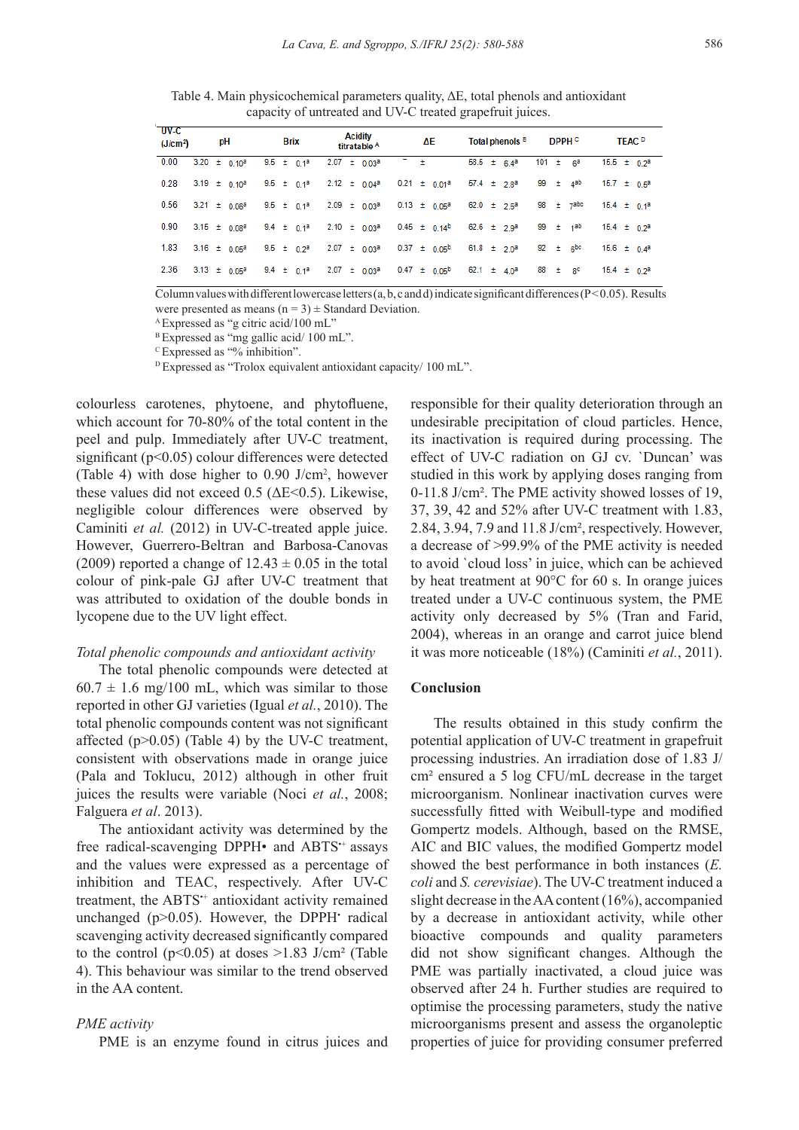Table 4. Main physicochemical parameters quality, ΔE, total phenols and antioxidant capacity of untreated and UV-C treated grapefruit juices.

| $U$ V-C<br>рH<br>(J/cm <sup>2</sup> ) |                              |                                                                                                                                               | <b>Brix</b> |                                   |  | Acidity<br>titratable A |  |     | ΔΕ |                                                                                      |  | Total phenols <sup>B</sup> |                             |            | DPPH <sup>c</sup>    | <b>TEAC</b> <sup>D</sup> |  |                  |  |
|---------------------------------------|------------------------------|-----------------------------------------------------------------------------------------------------------------------------------------------|-------------|-----------------------------------|--|-------------------------|--|-----|----|--------------------------------------------------------------------------------------|--|----------------------------|-----------------------------|------------|----------------------|--------------------------|--|------------------|--|
| 0.00                                  | $3.20 \pm 0.10^3$            |                                                                                                                                               |             | $9.5 \pm 0.1^a$ 2.07 $\pm 0.03^a$ |  |                         |  | アー士 |    |                                                                                      |  |                            | $58.5 \pm 6.4^a$            |            | 101 ± 6ª             |                          |  | $15.5 \pm 0.2^a$ |  |
| 0.28                                  |                              | $3.19 \pm 0.10^a$ $9.5 \pm 0.1^a$ $2.12 \pm 0.04^a$ $0.21 \pm 0.01^a$                                                                         |             |                                   |  |                         |  |     |    |                                                                                      |  |                            | $57.4 \pm 2.8^a$            |            | 99 ± 4 <sup>ab</sup> | $15.7 \pm 0.5^a$         |  |                  |  |
| 0.56                                  |                              | 3.21 $\pm$ 0.06 <sup>a</sup> 9.5 $\pm$ 0.1 <sup>a</sup> 2.09 $\pm$ 0.03 <sup>a</sup> 0.13 $\pm$ 0.05 <sup>a</sup> 62.0 $\pm$ 2.5 <sup>a</sup> |             |                                   |  |                         |  |     |    |                                                                                      |  |                            |                             |            | $98 \pm 7$ abc       | $15.4 \pm 0.1^a$         |  |                  |  |
| 0.90                                  |                              | 3.15 $\pm$ 0.08 <sup>a</sup> 9.4 $\pm$ 0.1 <sup>a</sup> 2.10 $\pm$ 0.03 <sup>a</sup> 0.45 $\pm$ 0.14 <sup>b</sup> 62.6 $\pm$ 2.9 <sup>a</sup> |             |                                   |  |                         |  |     |    |                                                                                      |  |                            |                             |            | 99 $\pm$ 1ab         | $15.4 \pm 0.2^a$         |  |                  |  |
| 1.83                                  | $3.16 \pm 0.05^a$            |                                                                                                                                               |             |                                   |  |                         |  |     |    | $9.5 \pm 0.2^a$ 2.07 $\pm 0.03^a$ 0.37 $\pm 0.05^b$ 61.8 $\pm 2.0^a$                 |  |                            |                             |            | $92 \pm 6$           | $15.6 \pm 0.4^a$         |  |                  |  |
| 2.36                                  | 3.13 $\pm$ 0.05 <sup>a</sup> |                                                                                                                                               |             |                                   |  |                         |  |     |    | 9.4 $\pm$ 0.1 <sup>a</sup> 2.07 $\pm$ 0.03 <sup>a</sup> 0.47 $\pm$ 0.05 <sup>b</sup> |  |                            | 62.1 $\pm$ 4.0 <sup>a</sup> | $88 + 8^c$ |                      | $15.4 \pm 0.2^a$         |  |                  |  |

Column values with different lowercase letters (a, b, c and d) indicate significant differences ( $P < 0.05$ ). Results were presented as means  $(n = 3) \pm$  Standard Deviation.

<sup>A</sup>Expressed as "g citric acid/100 mL"

B Expressed as "mg gallic acid/ 100 mL".

<sup>C</sup>Expressed as "% inhibition".

 $D$  Expressed as "Trolox equivalent antioxidant capacity/ 100 mL".

colourless carotenes, phytoene, and phytofluene, which account for 70-80% of the total content in the peel and pulp. Immediately after UV-C treatment, significant (p<0.05) colour differences were detected (Table 4) with dose higher to  $0.90$  J/cm<sup>2</sup>, however these values did not exceed  $0.5$  ( $\Delta E \le 0.5$ ). Likewise, negligible colour differences were observed by Caminiti *et al.* (2012) in UV-C-treated apple juice. However, Guerrero-Beltran and Barbosa-Canovas (2009) reported a change of  $12.43 \pm 0.05$  in the total colour of pink-pale GJ after UV-C treatment that was attributed to oxidation of the double bonds in lycopene due to the UV light effect.

## *Total phenolic compounds and antioxidant activity*

The total phenolic compounds were detected at  $60.7 \pm 1.6$  mg/100 mL, which was similar to those reported in other GJ varieties (Igual *et al.*, 2010). The total phenolic compounds content was not significant affected  $(p>0.05)$  (Table 4) by the UV-C treatment, consistent with observations made in orange juice (Pala and Toklucu, 2012) although in other fruit juices the results were variable (Noci *et al.*, 2008; Falguera *et al*. 2013).

The antioxidant activity was determined by the free radical-scavenging DPPH• and ABTS<sup>++</sup> assays and the values were expressed as a percentage of inhibition and TEAC, respectively. After UV-C treatment, the ABTS<sup>++</sup> antioxidant activity remained unchanged  $(p>0.05)$ . However, the DPPH radical scavenging activity decreased significantly compared to the control ( $p<0.05$ ) at doses  $\geq 1.83$  J/cm<sup>2</sup> (Table 4). This behaviour was similar to the trend observed in the AA content.

## *PME activity*

PME is an enzyme found in citrus juices and

responsible for their quality deterioration through an undesirable precipitation of cloud particles. Hence, its inactivation is required during processing. The effect of UV-C radiation on GJ cv. `Duncan' was studied in this work by applying doses ranging from 0-11.8 J/cm². The PME activity showed losses of 19, 37, 39, 42 and 52% after UV-C treatment with 1.83, 2.84, 3.94, 7.9 and 11.8 J/cm², respectively. However, a decrease of >99.9% of the PME activity is needed to avoid `cloud loss' in juice, which can be achieved by heat treatment at 90°C for 60 s. In orange juices treated under a UV-C continuous system, the PME activity only decreased by 5% (Tran and Farid, 2004), whereas in an orange and carrot juice blend it was more noticeable (18%) (Caminiti *et al.*, 2011).

## **Conclusion**

The results obtained in this study confirm the potential application of UV-C treatment in grapefruit processing industries. An irradiation dose of 1.83 J/ cm² ensured a 5 log CFU/mL decrease in the target microorganism. Nonlinear inactivation curves were successfully fitted with Weibull-type and modified Gompertz models. Although, based on the RMSE, AIC and BIC values, the modified Gompertz model showed the best performance in both instances (*E. coli* and *S. cerevisiae*). The UV-C treatment induced a slight decrease in the AA content (16%), accompanied by a decrease in antioxidant activity, while other bioactive compounds and quality parameters did not show significant changes. Although the PME was partially inactivated, a cloud juice was observed after 24 h. Further studies are required to optimise the processing parameters, study the native microorganisms present and assess the organoleptic properties of juice for providing consumer preferred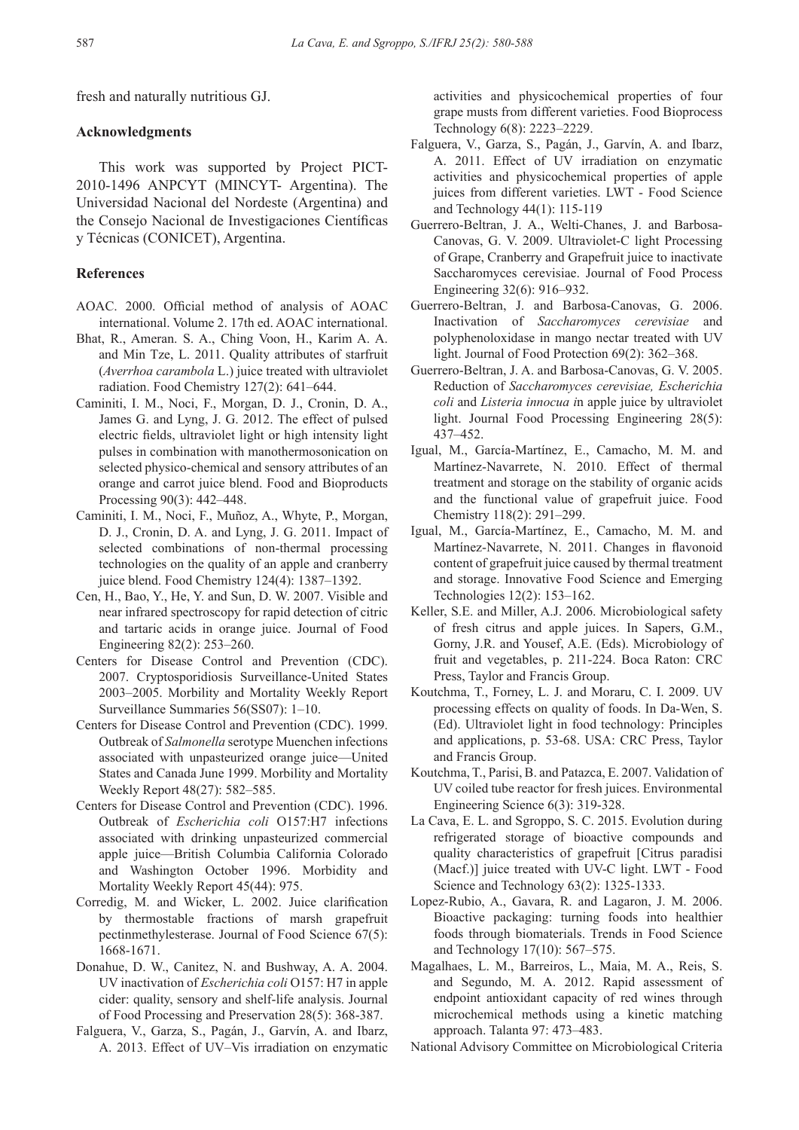fresh and naturally nutritious GJ.

## **Acknowledgments**

This work was supported by Project PICT-2010-1496 ANPCYT (MINCYT- Argentina). The Universidad Nacional del Nordeste (Argentina) and the Consejo Nacional de Investigaciones Científicas y Técnicas (CONICET), Argentina.

## **References**

- AOAC. 2000. Official method of analysis of AOAC international. Volume 2. 17th ed. AOAC international.
- Bhat, R., Ameran. S. A., Ching Voon, H., Karim A. A. and Min Tze, L. 2011. Quality attributes of starfruit (*Averrhoa carambola* L.) juice treated with ultraviolet radiation. Food Chemistry 127(2): 641–644.
- Caminiti, I. M., Noci, F., Morgan, D. J., Cronin, D. A., James G. and Lyng, J. G. 2012. The effect of pulsed electric fields, ultraviolet light or high intensity light pulses in combination with manothermosonication on selected physico-chemical and sensory attributes of an orange and carrot juice blend. Food and Bioproducts Processing 90(3): 442–448.
- Caminiti, I. M., Noci, F., Muñoz, A., Whyte, P., Morgan, D. J., Cronin, D. A. and Lyng, J. G. 2011. Impact of selected combinations of non-thermal processing technologies on the quality of an apple and cranberry juice blend. Food Chemistry 124(4): 1387–1392.
- Cen, H., Bao, Y., He, Y. and Sun, D. W. 2007. Visible and near infrared spectroscopy for rapid detection of citric and tartaric acids in orange juice. Journal of Food Engineering 82(2): 253–260.
- Centers for Disease Control and Prevention (CDC). 2007. Cryptosporidiosis Surveillance-United States 2003–2005. Morbility and Mortality Weekly Report Surveillance Summaries 56(SS07): 1–10.
- Centers for Disease Control and Prevention (CDC). 1999. Outbreak of *Salmonella* serotype Muenchen infections associated with unpasteurized orange juice—United States and Canada June 1999. Morbility and Mortality Weekly Report 48(27): 582–585.
- Centers for Disease Control and Prevention (CDC). 1996. Outbreak of *Escherichia coli* O157:H7 infections associated with drinking unpasteurized commercial apple juice—British Columbia California Colorado and Washington October 1996. Morbidity and Mortality Weekly Report 45(44): 975.
- Corredig, M. and Wicker, L. 2002. Juice clarification by thermostable fractions of marsh grapefruit pectinmethylesterase. Journal of Food Science 67(5): 1668-1671.
- Donahue, D. W., Canitez, N. and Bushway, A. A. 2004. UV inactivation of *Escherichia coli* O157: H7 in apple cider: quality, sensory and shelf-life analysis. Journal of Food Processing and Preservation 28(5): 368-387.
- Falguera, V., Garza, S., Pagán, J., Garvín, A. and Ibarz, A. 2013. Effect of UV–Vis irradiation on enzymatic

activities and physicochemical properties of four grape musts from different varieties. Food Bioprocess Technology 6(8): 2223–2229.

- Falguera, V., Garza, S., Pagán, J., Garvín, A. and Ibarz, A. 2011. Effect of UV irradiation on enzymatic activities and physicochemical properties of apple juices from different varieties. LWT - Food Science and Technology 44(1): 115-119
- Guerrero-Beltran, J. A., Welti-Chanes, J. and Barbosa-Canovas, G. V. 2009. Ultraviolet-C light Processing of Grape, Cranberry and Grapefruit juice to inactivate Saccharomyces cerevisiae. Journal of Food Process Engineering 32(6): 916–932.
- Guerrero-Beltran, J. and Barbosa-Canovas, G. 2006. Inactivation of *Saccharomyces cerevisiae* and polyphenoloxidase in mango nectar treated with UV light. Journal of Food Protection 69(2): 362–368.
- Guerrero-Beltran, J. A. and Barbosa-Canovas, G. V. 2005. Reduction of *Saccharomyces cerevisiae, Escherichia coli* and *Listeria innocua i*n apple juice by ultraviolet light. Journal Food Processing Engineering 28(5): 437–452.
- Igual, M., García-Martínez, E., Camacho, M. M. and Martínez-Navarrete, N. 2010. Effect of thermal treatment and storage on the stability of organic acids and the functional value of grapefruit juice. Food Chemistry 118(2): 291–299.
- Igual, M., García-Martínez, E., Camacho, M. M. and Martínez-Navarrete, N. 2011. Changes in flavonoid content of grapefruit juice caused by thermal treatment and storage. Innovative Food Science and Emerging Technologies 12(2): 153–162.
- Keller, S.E. and Miller, A.J. 2006. Microbiological safety of fresh citrus and apple juices. In Sapers, G.M., Gorny, J.R. and Yousef, A.E. (Eds). Microbiology of fruit and vegetables, p. 211-224. Boca Raton: CRC Press, Taylor and Francis Group.
- Koutchma, T., Forney, L. J. and Moraru, C. I. 2009. UV processing effects on quality of foods. In Da-Wen, S. (Ed). Ultraviolet light in food technology: Principles and applications, p. 53-68. USA: CRC Press, Taylor and Francis Group.
- Koutchma, T., Parisi, B. and Patazca, E. 2007. Validation of UV coiled tube reactor for fresh juices. Environmental Engineering Science 6(3): 319-328.
- La Cava, E. L. and Sgroppo, S. C. 2015. Evolution during refrigerated storage of bioactive compounds and quality characteristics of grapefruit [Citrus paradisi (Macf.)] juice treated with UV-C light. LWT - Food Science and Technology 63(2): 1325-1333.
- Lopez-Rubio, A., Gavara, R. and Lagaron, J. M. 2006. Bioactive packaging: turning foods into healthier foods through biomaterials. Trends in Food Science and Technology 17(10): 567–575.
- Magalhaes, L. M., Barreiros, L., Maia, M. A., Reis, S. and Segundo, M. A. 2012. Rapid assessment of endpoint antioxidant capacity of red wines through microchemical methods using a kinetic matching approach. Talanta 97: 473–483.

National Advisory Committee on Microbiological Criteria